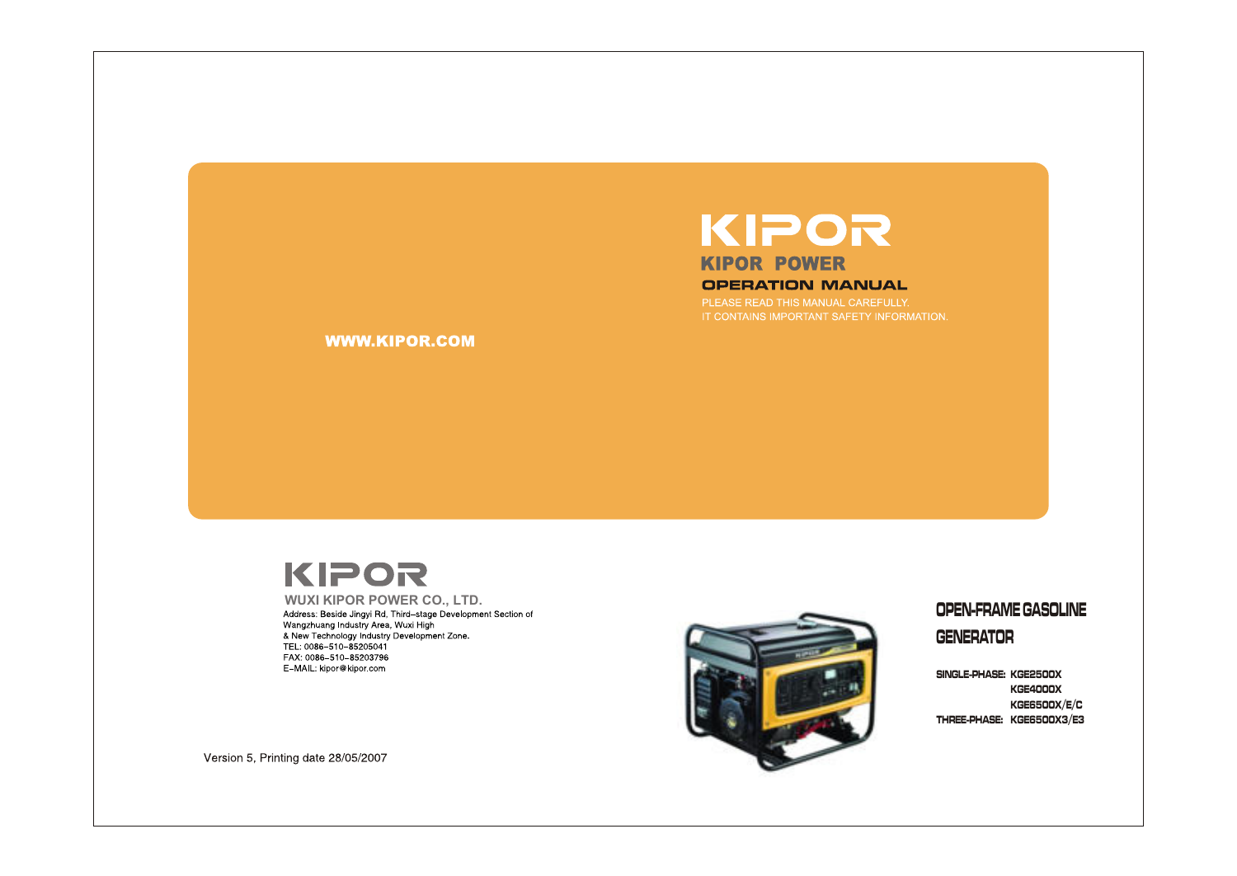## KIPOR **KIPOR POWER OPERATION MANUAL**

PLEASE READ THIS MANUAL CAREFULLY.

**WWW.KIPOR.COM** 

# KIPOR



### UPEN-FRAIVIE GASULINE

UENEKAI UK

5||NGLE-PHASE: KGE25UUX KGE4UUUX KGE65UUX/E/C SINGLE-PHASE: KGE25UUX<br>KGE4000X<br>KGE6500X/E/C<br>THREE-PHASE: KGE6500X/E/C

Version 5, Printing date 28/05/2007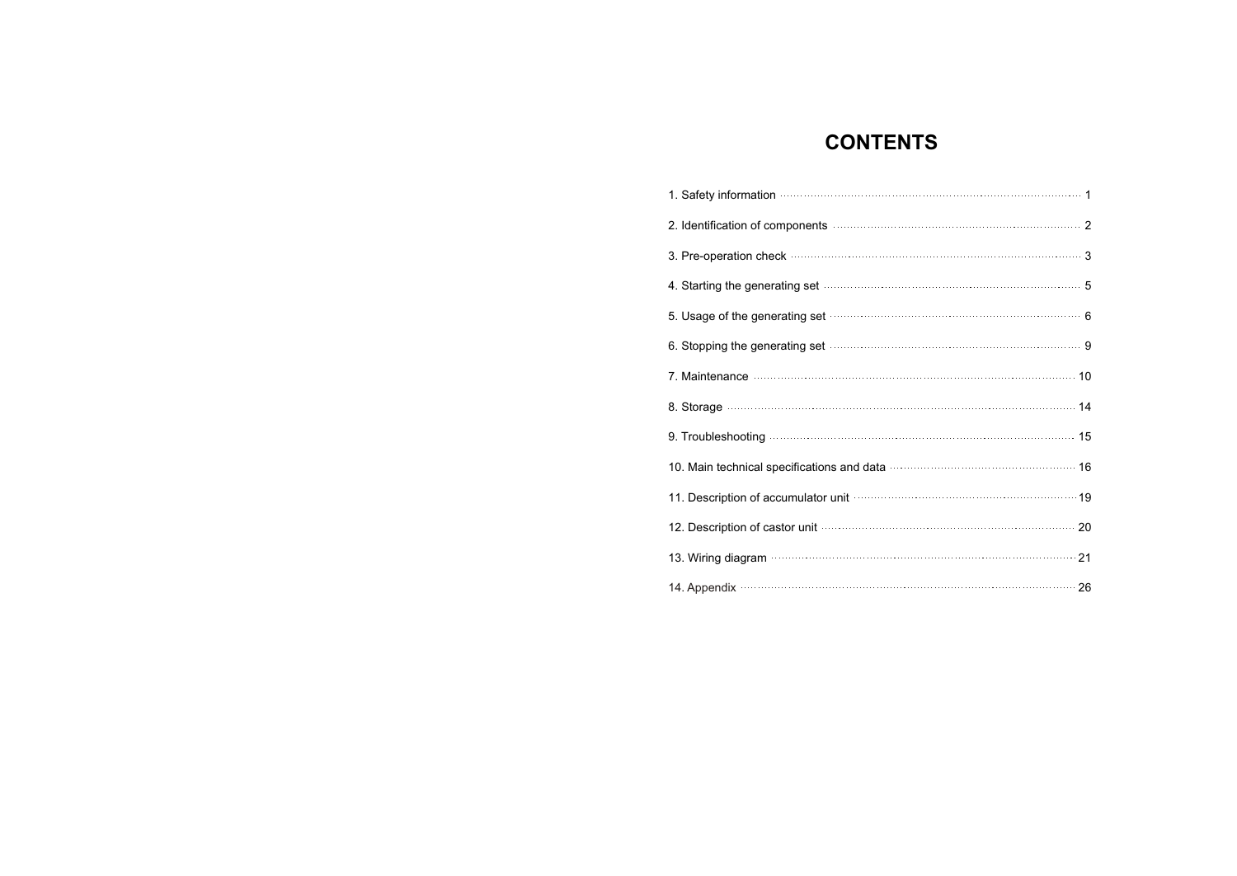### **CONTENTS**

| 1. Safety information measurements are constructed as a fact of the state of the state of the state of the state of the state of the state of the state of the state of the state of the state of the state of the state of th |
|--------------------------------------------------------------------------------------------------------------------------------------------------------------------------------------------------------------------------------|
|                                                                                                                                                                                                                                |
|                                                                                                                                                                                                                                |
| 4. Starting the generating set <b>continuum continuum contract to the starting</b> the generating set                                                                                                                          |
| 5. Usage of the generating set manufactured contains and a final set of                                                                                                                                                        |
| 6. Stopping the generating set manufactured and state state of 9                                                                                                                                                               |
| 7. Maintenance <b>Maintenance</b> 10                                                                                                                                                                                           |
|                                                                                                                                                                                                                                |
|                                                                                                                                                                                                                                |
|                                                                                                                                                                                                                                |
| 11. Description of accumulator unit manufacture and the settlement of 19                                                                                                                                                       |
| 12. Description of castor unit material contracts and all the 20                                                                                                                                                               |
|                                                                                                                                                                                                                                |
| 14. Appendix (26) 26                                                                                                                                                                                                           |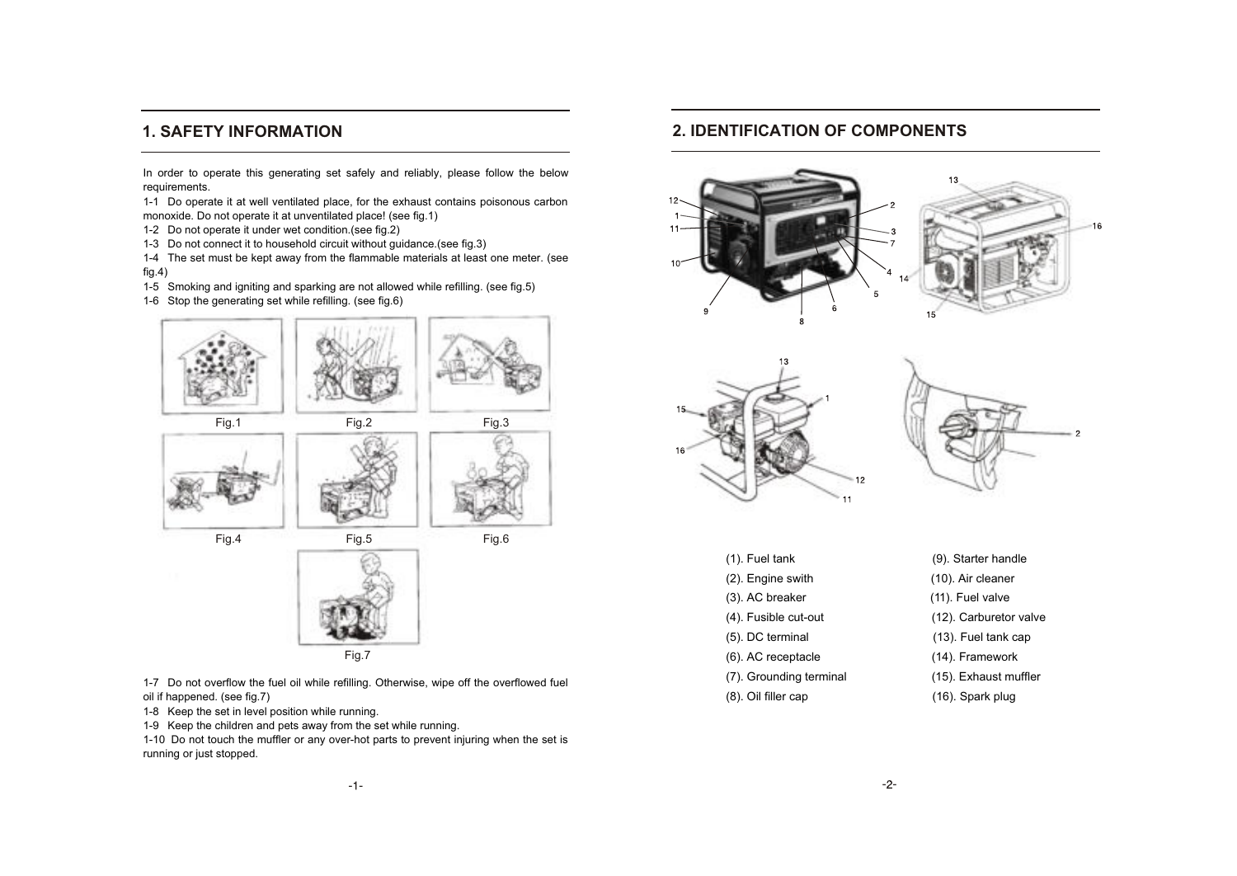### **1. SAFETY INFORMATION**

In order to operate this generating set safely and reliably, please follow the below requirements.

1-1 Do operate it at well ventilated place, for the exhaust contains poisonous carbon monoxide. Do not operate it at unventilated place! (see fig.1)

1-2 Do not operate it under wet condition.(see fig.2)

1-3 Do not connect it to household circuit without guidance.(see fig.3)

1-4 The set must be kept away from the flammable materials at least one meter. (see fig.4)

1-5 Smoking and igniting and sparking are not allowed while refilling. (see fig.5)

1-6 Stop the generating set while refilling. (see fig.6)



1-7 Do not overflow the fuel oil while refilling. Otherwise, wipe off the overflowed fuel oil if happened. (see fig.7)

1-8 Keep the set in level position while running.

1-9 Keep the children and pets away from the set while running.

1-10 Do not touch the muffler or any over-hot parts to prevent injuring when the set is running or just stopped.

### **2. IDENTIFICATION OF COMPONENTS**







| $(1)$ . Fuel tank       | (9). Starter handle    |
|-------------------------|------------------------|
| (2). Engine swith       | (10). Air cleaner      |
| (3). AC breaker         | (11). Fuel valve       |
| (4). Fusible cut-out    | (12). Carburetor valve |
| (5). DC terminal        | (13). Fuel tank cap    |
| (6). AC receptacle      | (14). Framework        |
| (7). Grounding terminal | (15). Exhaust muffler  |
| (8). Oil filler cap     | (16). Spark plug       |
|                         |                        |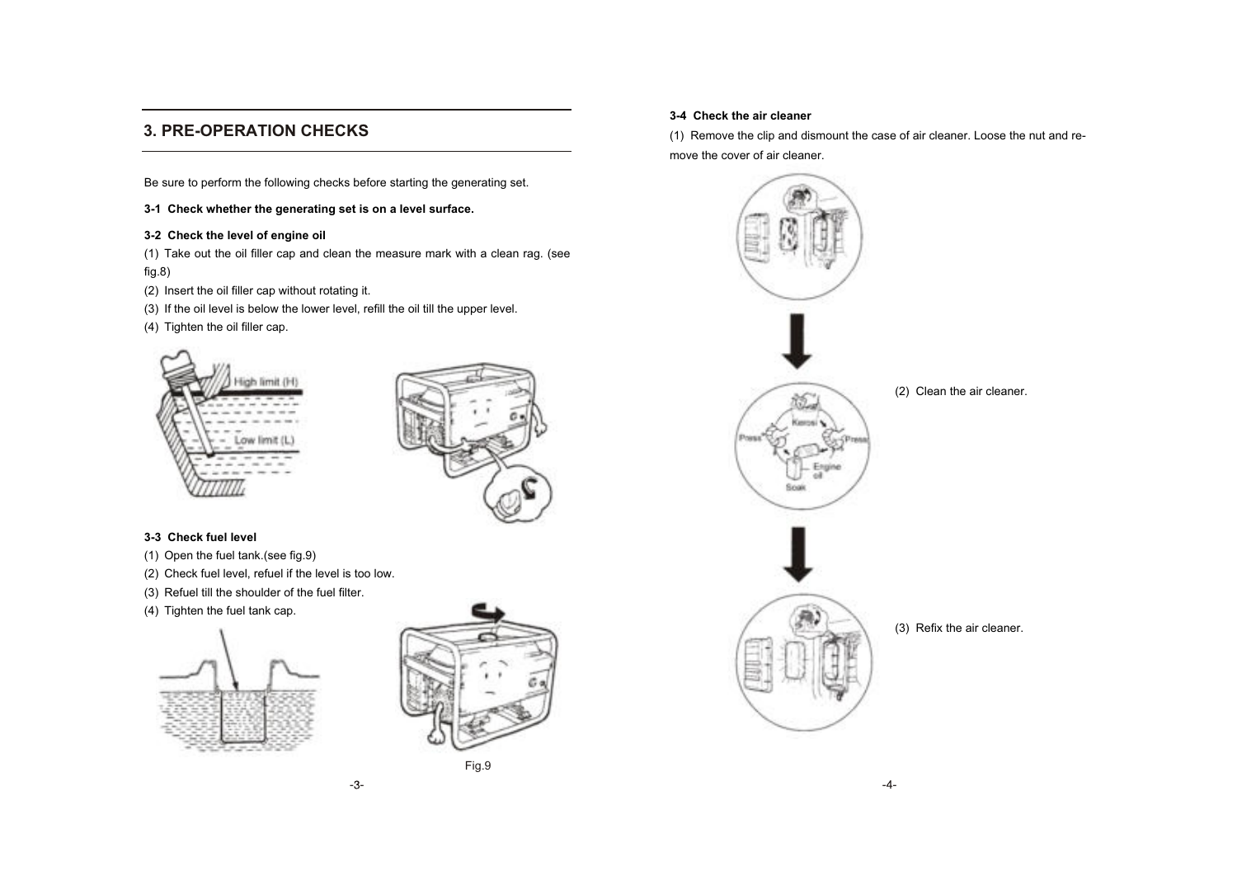### **3. PRE-OPERATION CHECKS**

Be sure to perform the following checks before starting the generating set.

**3-1 Check whether the generating set is on a level surface.**

#### **3-2 Check the level of engine oil**

(1) Take out the oil filler cap and clean the measure mark with a clean rag. (see fig.8)

-3-

- (2) Insert the oil filler cap without rotating it.
- (3) If the oil level is below the lower level, refill the oil till the upper level.
- (4) Tighten the oil filler cap.





#### **3-3 Check fuel level**

- (1) Open the fuel tank.(see fig.9)
- (2) Check fuel level, refuel if the level is too low.
- (3) Refuel till the shoulder of the fuel filter.
- (4) Tighten the fuel tank cap.





#### **3-4 Check the air cleaner**

(1) Remove the clip and dismount the case of air cleaner. Loose the nut and remove the cover of air cleaner.

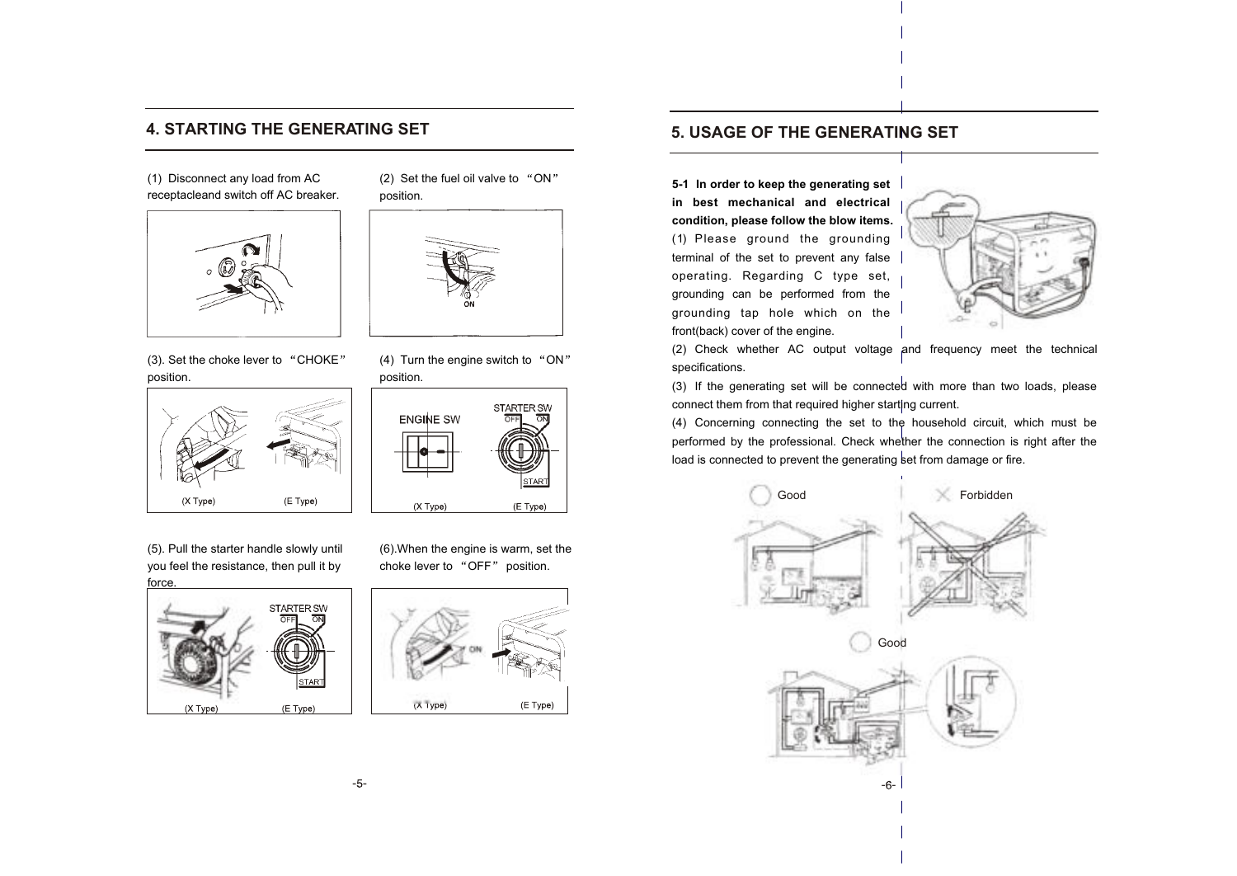### **4. STARTING THE GENERATING SET**

(1) Disconnect any load from AC receptacleand switch off AC breaker.



(3). Set the choke lever to "CHOKE" position.



(5). Pull the starter handle slowly until you feel the resistance, then pull it by



(2) Set the fuel oil valve to "ON" position.



(4) Turn the engine switch to "ON" position.



(6).When the engine is warm, set the choke lever to "OFF" position.



### **5. USAGE OF THE GENERATING SET**

**5-1 In order to keep the generating set in best mechanical and electrical condition, please follow the blow items.**  (1) Please ground the grounding terminal of the set to prevent any false operating. Regarding C type set, grounding can be performed from the grounding tap hole which on the front(back) cover of the engine.



(2) Check whether AC output voltage and frequency meet the technical specifications.

(3) If the generating set will be connected with more than two loads, please connect them from that required higher starting current.

(4) Concerning connecting the set to the household circuit, which must be performed by the professional. Check whether the connection is right after the load is connected to prevent the generating set from damage or fire.

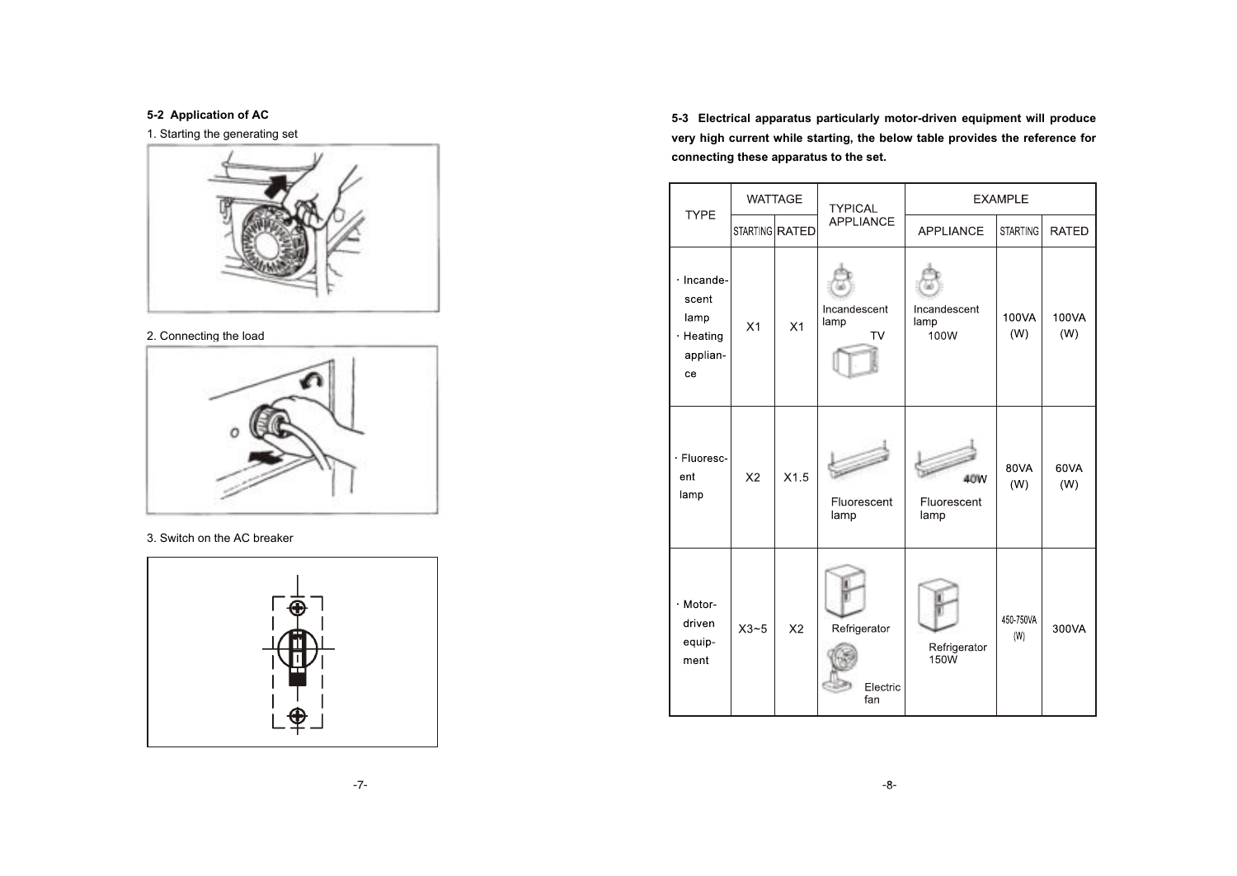**5-2 Application of AC**

1. Starting the generating set



#### 2. Connecting the load



### 3. Switch on the AC breaker



**5-3 Electrical apparatus particularly motor-driven equipment will produce very high current while starting, the below table provides the reference for connecting these apparatus to the set.**

| <b>TYPE</b>                                                      |                | <b>WATTAGE</b> | <b>TYPICAL</b>                    |                                  | <b>EXAMPLE</b>   |              |
|------------------------------------------------------------------|----------------|----------------|-----------------------------------|----------------------------------|------------------|--------------|
|                                                                  |                | STARTING RATED | <b>APPLIANCE</b>                  | <b>APPLIANCE</b>                 | <b>STARTING</b>  | <b>RATED</b> |
| $\cdot$ Incande-<br>scent<br>lamp<br>· Heating<br>applian-<br>ce | X1             | X1             | Incandescent<br>lamp<br><b>TV</b> | Incandescent<br>lamp<br>100W     | 100VA<br>(W)     | 100VA<br>(W) |
| · Fluoresc-<br>ent<br>lamp                                       | X <sub>2</sub> | X1.5           | Fluorescent<br>lamp               | 40W<br>Fluorescent<br>lamp       | 80VA<br>(W)      | 60VA<br>(W)  |
| $\cdot$ Motor-<br>driven<br>equip-<br>ment                       | $X3-5$         | X <sub>2</sub> | Refrigerator<br>Electric<br>fan   | Refrigerator<br>150 <sub>W</sub> | 450-750VA<br>(W) | 300VA        |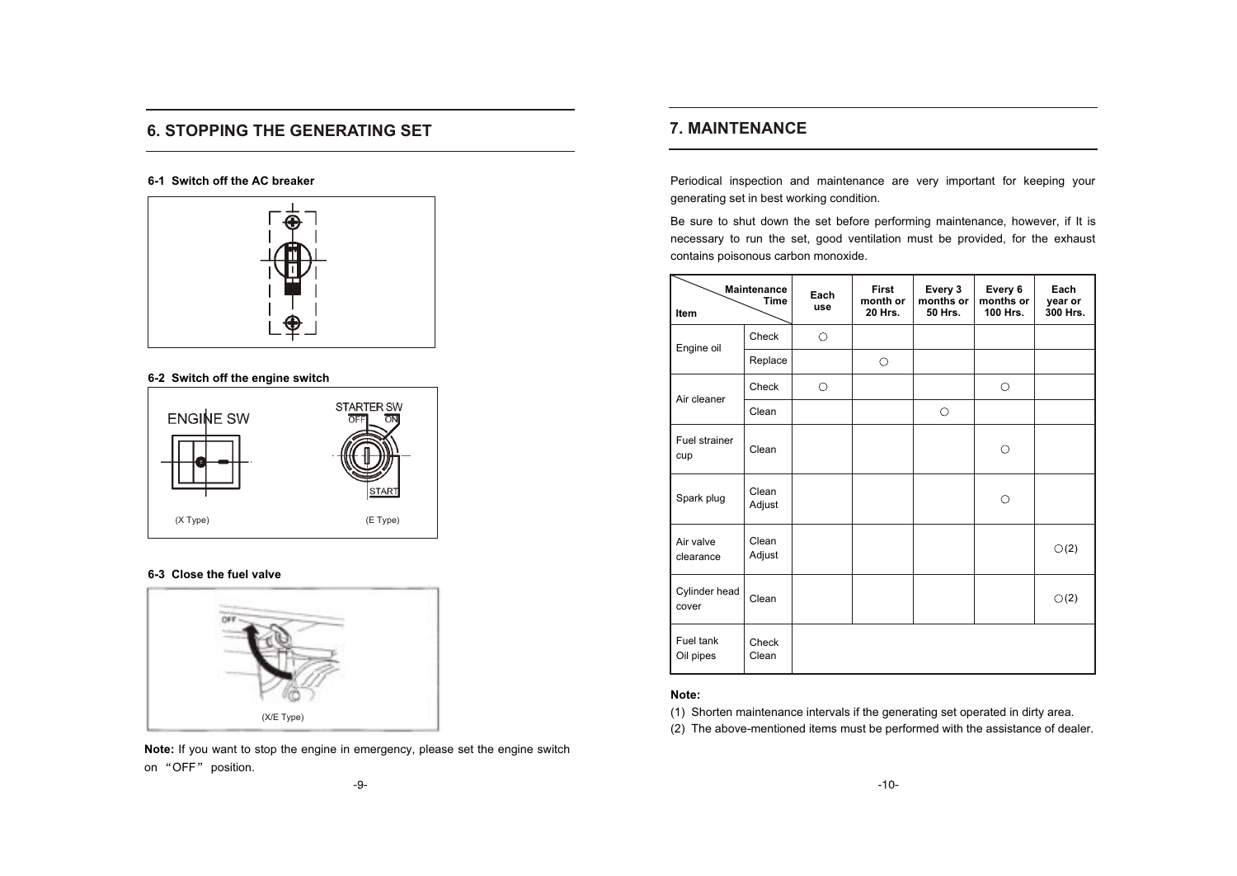### **6. STOPPING THE GENERATING SET**

#### **6-1 Switch off the AC breaker**



#### **6-2 Switch off the engine switch**



#### **6-3 Close the fuel valve**



**Note:** If you want to stop the engine in emergency, please set the engine switch on "OFF" position.

### **7. MAINTENANCE**

Periodical inspection and maintenance are very important for keeping your generating set in best working condition.

Be sure to shut down the set before performing maintenance, however, if It is necessary to run the set, good ventilation must be provided, for the exhaust contains poisonous carbon monoxide.

| Item                   | <b>Maintenance</b><br><b>Time</b> | Each<br>use | First<br>month or<br>20 Hrs. | Every 3<br>months or<br>50 Hrs. | Every 6<br>months or<br>100 Hrs. | Each<br>year or<br>300 Hrs. |
|------------------------|-----------------------------------|-------------|------------------------------|---------------------------------|----------------------------------|-----------------------------|
| Engine oil             | Check                             | $\bigcirc$  |                              |                                 |                                  |                             |
|                        | Replace                           |             | $\circ$                      |                                 |                                  |                             |
| Air cleaner            | Check                             | О           |                              |                                 | $\circ$                          |                             |
|                        | Clean                             |             |                              | $\circ$                         |                                  |                             |
| Fuel strainer<br>cup   | Clean                             |             |                              |                                 | Ο                                |                             |
| Spark plug             | Clean<br>Adjust                   |             |                              |                                 | O                                |                             |
| Air valve<br>clearance | Clean<br>Adjust                   |             |                              |                                 |                                  | $\circlearrowright(2)$      |
| Cylinder head<br>cover | Clean                             |             |                              |                                 |                                  | $\circlearrowright(2)$      |
| Fuel tank<br>Oil pipes | Check<br>Clean                    |             |                              |                                 |                                  |                             |

#### **Note:**

(1) Shorten maintenance intervals if the generating set operated in dirty area.

(2) The above-mentioned items must be performed with the assistance of dealer.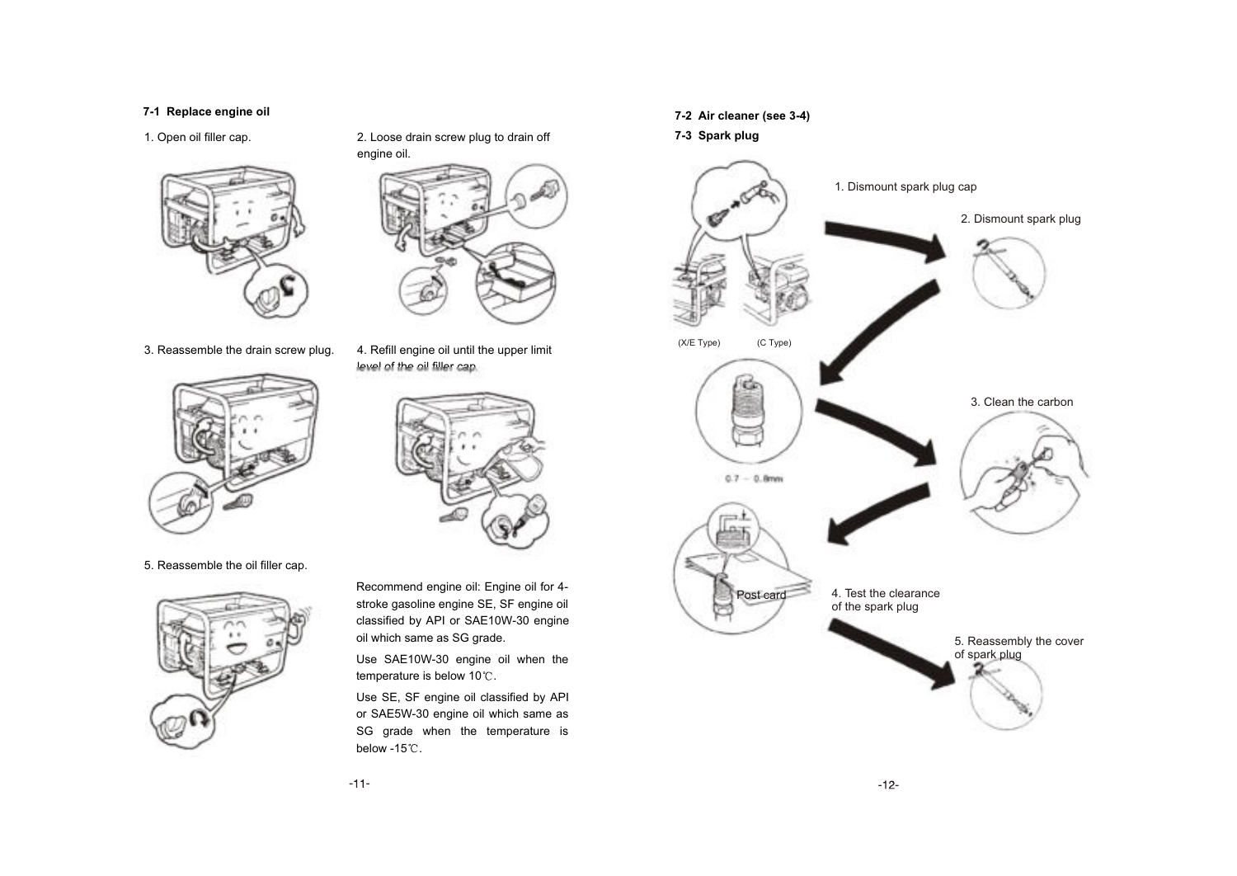#### **7-1 Replace engine oil**



3. Reassemble the drain screw plug.



1. Open oil filler cap. 2. Loose drain screw plug to drain off



4. Refill engine oil until the upper limit level of the oil filler cap.



5. Reassemble the oil filler cap.



Recommend engine oil: Engine oil for 4 stroke gasoline engine SE, SF engine oil classified by API or SAE10W-30 engine oil which same as SG grade.

Use SAE10W-30 engine oil when the temperature is below  $10^{\circ}$ C.

Use SE, SF engine oil classified by API or SAE5W-30 engine oil which same as SG grade when the temperature is below -15 $°C$ .

#### **7-2 Air cleaner (see 3-4)**

#### **7-3 Spark plug**

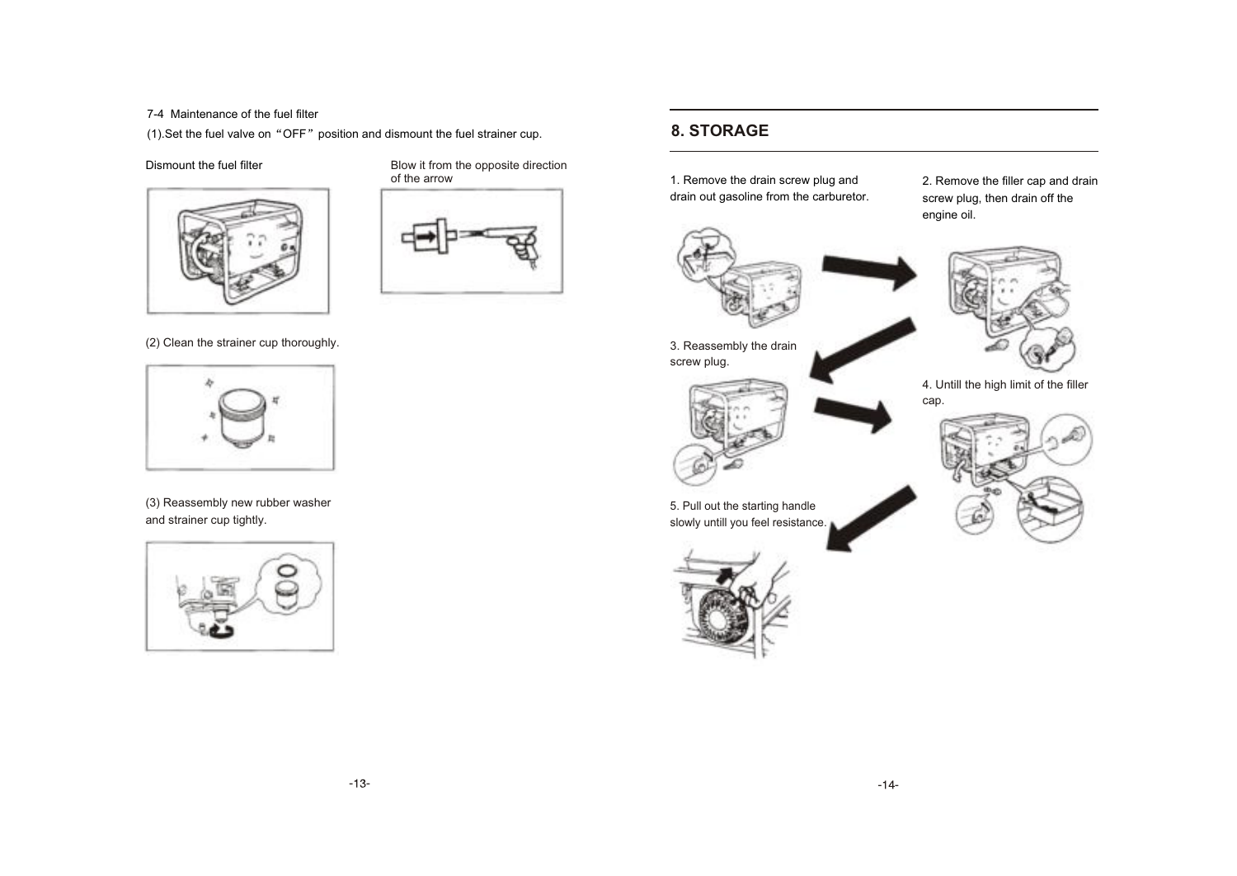7-4 Maintenance of the fuel filter

 $(1)$ . Set the fuel valve on "OFF" position and dismount the fuel strainer cup.



Dismount the fuel filter **Blow** it from the opposite direction of the arrow



(2) Clean the strainer cup thoroughly.



(3) Reassembly new rubber washer and strainer cup tightly.





**8. STORAGE**

4. Untill the high limit of the filler

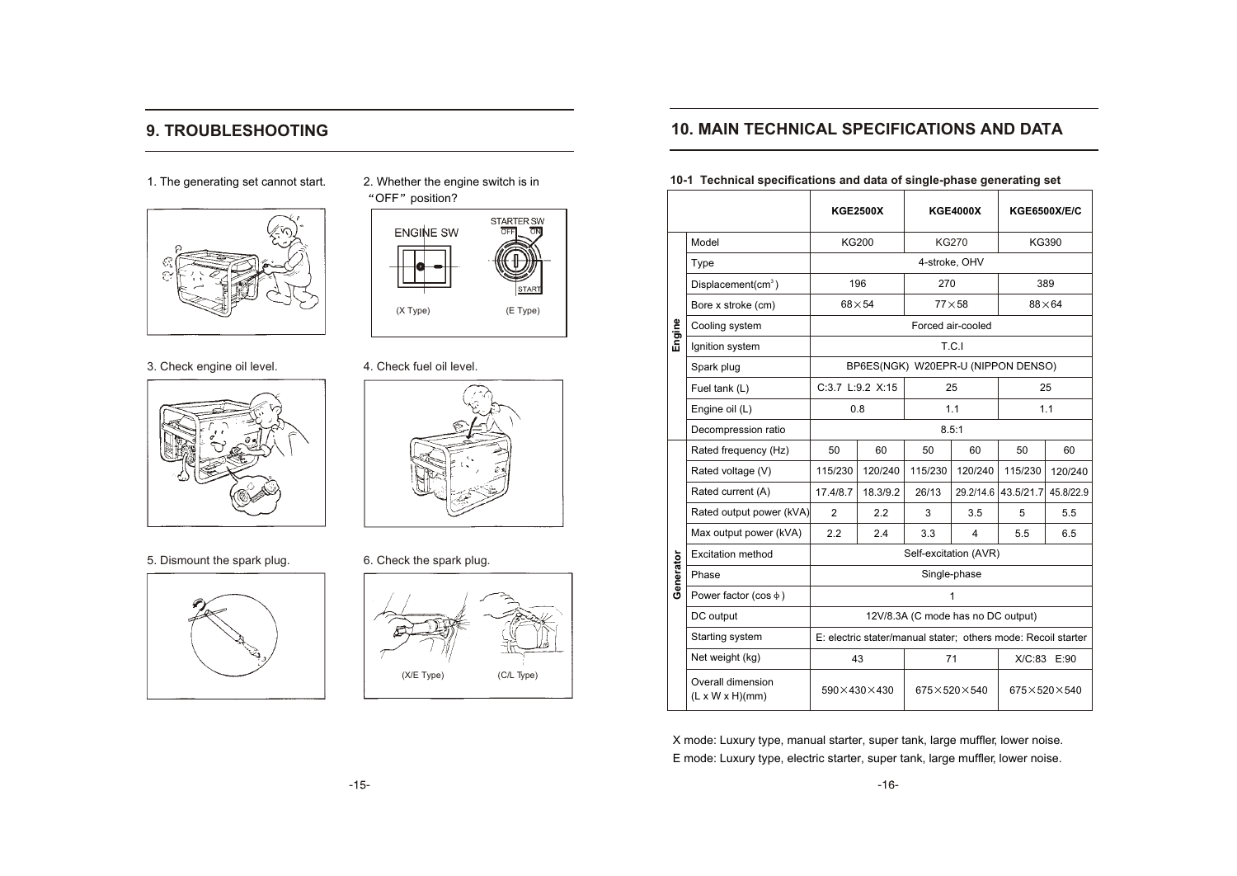### **9. TROUBLESHOOTING**

1. The generating set cannot start. 2. Whether the engine switch is in





3. Check engine oil level. 4. Check fuel oil level.



5. Dismount the spark plug. 6. Check the spark plug.





"OFF" position?





### **10. MAIN TECHNICAL SPECIFICATIONS AND DATA**

**10-1 Technical specifications and data of single-phase generating set**

|           |                                                  | <b>KGE2500X</b>                                               |                  | <b>KGE4000X</b>       |                         | <b>KGE6500X/E/C</b>                |             |  |
|-----------|--------------------------------------------------|---------------------------------------------------------------|------------------|-----------------------|-------------------------|------------------------------------|-------------|--|
|           | Model                                            |                                                               | KG200            | <b>KG270</b>          |                         |                                    | KG390       |  |
|           | Type                                             |                                                               |                  | 4-stroke, OHV         |                         |                                    |             |  |
|           | Displacement(cm <sup>3</sup> )                   |                                                               | 196              | 270                   |                         |                                    | 389         |  |
|           | Bore x stroke (cm)                               |                                                               | $68\times54$     |                       | $77\times58$            | $88\times 64$                      |             |  |
| Engine    | Cooling system                                   |                                                               |                  |                       | Forced air-cooled       |                                    |             |  |
|           | Ignition system                                  |                                                               |                  |                       | T.C.I                   |                                    |             |  |
|           | Spark plug                                       |                                                               |                  |                       |                         | BP6ES(NGK) W20EPR-U (NIPPON DENSO) |             |  |
|           | Fuel tank (L)                                    |                                                               | C:3.7 L:9.2 X:15 |                       | 25                      |                                    | 25          |  |
|           | Engine oil (L)                                   |                                                               | 0.8              |                       | 1.1                     | 1.1                                |             |  |
|           | Decompression ratio                              |                                                               |                  |                       | 8.5:1                   |                                    |             |  |
|           | Rated frequency (Hz)                             | 50                                                            | 60               | 50                    | 60                      | 50                                 | 60          |  |
|           | Rated voltage (V)                                | 115/230                                                       | 120/240          | 115/230               | 120/240                 | 115/230                            | 120/240     |  |
|           | Rated current (A)                                | 17.4/8.7                                                      | 18.3/9.2         | 26/13                 |                         | 29.2/14.6 43.5/21.7                | 45.8/22.9   |  |
|           | Rated output power (kVA)                         | $\overline{2}$                                                | 2.2              | 3                     | 3.5                     | 5                                  | 5.5         |  |
|           | Max output power (kVA)                           | 2.2                                                           | 2.4              | 3.3                   | $\overline{\mathbf{4}}$ | 5.5                                | 6.5         |  |
|           | <b>Excitation method</b>                         |                                                               |                  | Self-excitation (AVR) |                         |                                    |             |  |
| Generator | Phase                                            |                                                               |                  | Single-phase          |                         |                                    |             |  |
|           | Power factor (cos $\phi$ )                       |                                                               |                  |                       | 1                       |                                    |             |  |
|           | DC output                                        | 12V/8.3A (C mode has no DC output)                            |                  |                       |                         |                                    |             |  |
|           | Starting system                                  | E: electric stater/manual stater; others mode: Recoil starter |                  |                       |                         |                                    |             |  |
|           | Net weight (kg)                                  |                                                               | 43               | 71                    |                         |                                    | X/C:83 E:90 |  |
|           | Overall dimension<br>$(L \times W \times H)(mm)$ | $590 \times 430 \times 430$<br>$675\times520\times540$        |                  |                       |                         | $675 \times 520 \times 540$        |             |  |

X mode: Luxury type, manual starter, super tank, large muffler, lower noise. E mode: Luxury type, electric starter, super tank, large muffler, lower noise.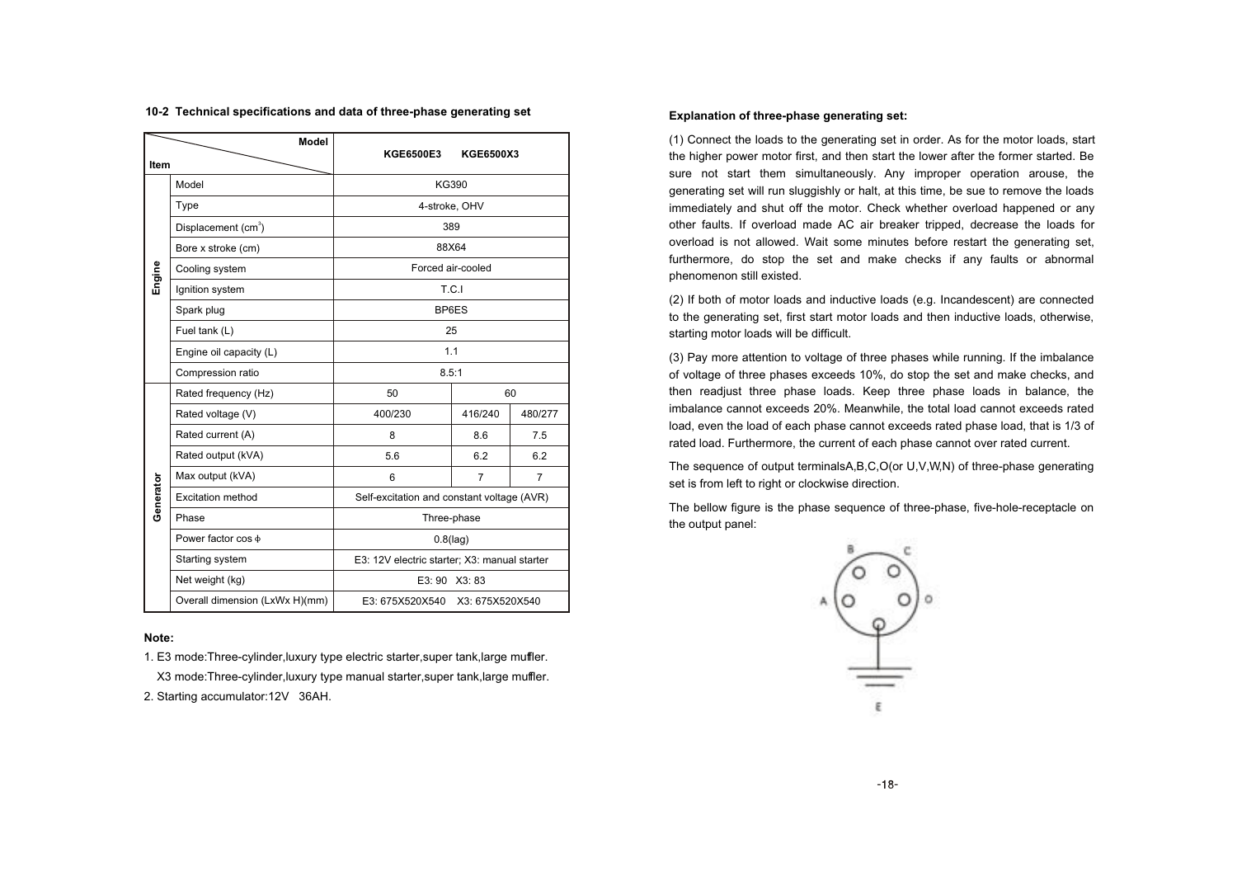| Model     |                                 | KGE6500E3                                    | KGE6500X3         |                |  |  |
|-----------|---------------------------------|----------------------------------------------|-------------------|----------------|--|--|
| Item      |                                 |                                              |                   |                |  |  |
|           | Model                           | KG390                                        |                   |                |  |  |
|           | Type                            | 4-stroke, OHV                                |                   |                |  |  |
|           | Displacement (cm <sup>3</sup> ) |                                              | 389               |                |  |  |
|           | Bore x stroke (cm)              |                                              | 88X64             |                |  |  |
| Engine    | Cooling system                  |                                              | Forced air-cooled |                |  |  |
|           | Ignition system                 |                                              | T.C.I             |                |  |  |
|           | Spark plug                      | BP6ES                                        |                   |                |  |  |
|           | Fuel tank (L)                   | 25                                           |                   |                |  |  |
|           | Engine oil capacity (L)         | 1.1                                          |                   |                |  |  |
|           | Compression ratio               | 8.5:1                                        |                   |                |  |  |
|           | Rated frequency (Hz)            | 50                                           | 60                |                |  |  |
|           | Rated voltage (V)               | 400/230                                      | 416/240           | 480/277        |  |  |
|           | Rated current (A)               | 8                                            | 8.6               | 7.5            |  |  |
|           | Rated output (kVA)              | 5.6                                          | 6.2               | 6.2            |  |  |
|           | Max output (kVA)                | 6                                            | $\overline{7}$    | $\overline{7}$ |  |  |
| Generator | Excitation method               | Self-excitation and constant voltage (AVR)   |                   |                |  |  |
|           | Phase                           | Three-phase                                  |                   |                |  |  |
|           | Power factor cos $\phi$         | $0.8$ (lag)                                  |                   |                |  |  |
|           | Starting system                 | E3: 12V electric starter; X3: manual starter |                   |                |  |  |
|           | Net weight (kg)                 | E3:90<br>X3:83                               |                   |                |  |  |
|           | Overall dimension (LxWx H)(mm)  | E3: 675X520X540<br>X3: 675X520X540           |                   |                |  |  |

#### **10-2 Technical specifications and data of three-phase generating set**

#### **Note:**

1. E3 mode:Three-cylinder,luxury type electric starter,super tank,large muffler.

X3 mode:Three-cylinder,luxury type manual starter,super tank,large muffler.

2. Starting accumulator:12V 36AH.

#### **Explanation of three-phase generating set:**

(1) Connect the loads to the generating set in order. As for the motor loads, start the higher power motor first, and then start the lower after the former started. Be sure not start them simultaneously. Any improper operation arouse, the generating set will run sluggishly or halt, at this time, be sue to remove the loads immediately and shut off the motor. Check whether overload happened or any other faults. If overload made AC air breaker tripped, decrease the loads for overload is not allowed. Wait some minutes before restart the generating set, furthermore, do stop the set and make checks if any faults or abnormal phenomenon still existed.

(2) If both of motor loads and inductive loads (e.g. Incandescent) are connected to the generating set, first start motor loads and then inductive loads, otherwise, starting motor loads will be difficult.

(3) Pay more attention to voltage of three phases while running. If the imbalance of voltage of three phases exceeds 10%, do stop the set and make checks, and then readjust three phase loads. Keep three phase loads in balance, the imbalance cannot exceeds 20%. Meanwhile, the total load cannot exceeds rated load, even the load of each phase cannot exceeds rated phase load, that is 1/3 of rated load. Furthermore, the current of each phase cannot over rated current.

The sequence of output terminalsA,B,C,O(or U,V,W,N) of three-phase generating set is from left to right or clockwise direction.

The bellow figure is the phase sequence of three-phase, five-hole-receptacle on the output panel:

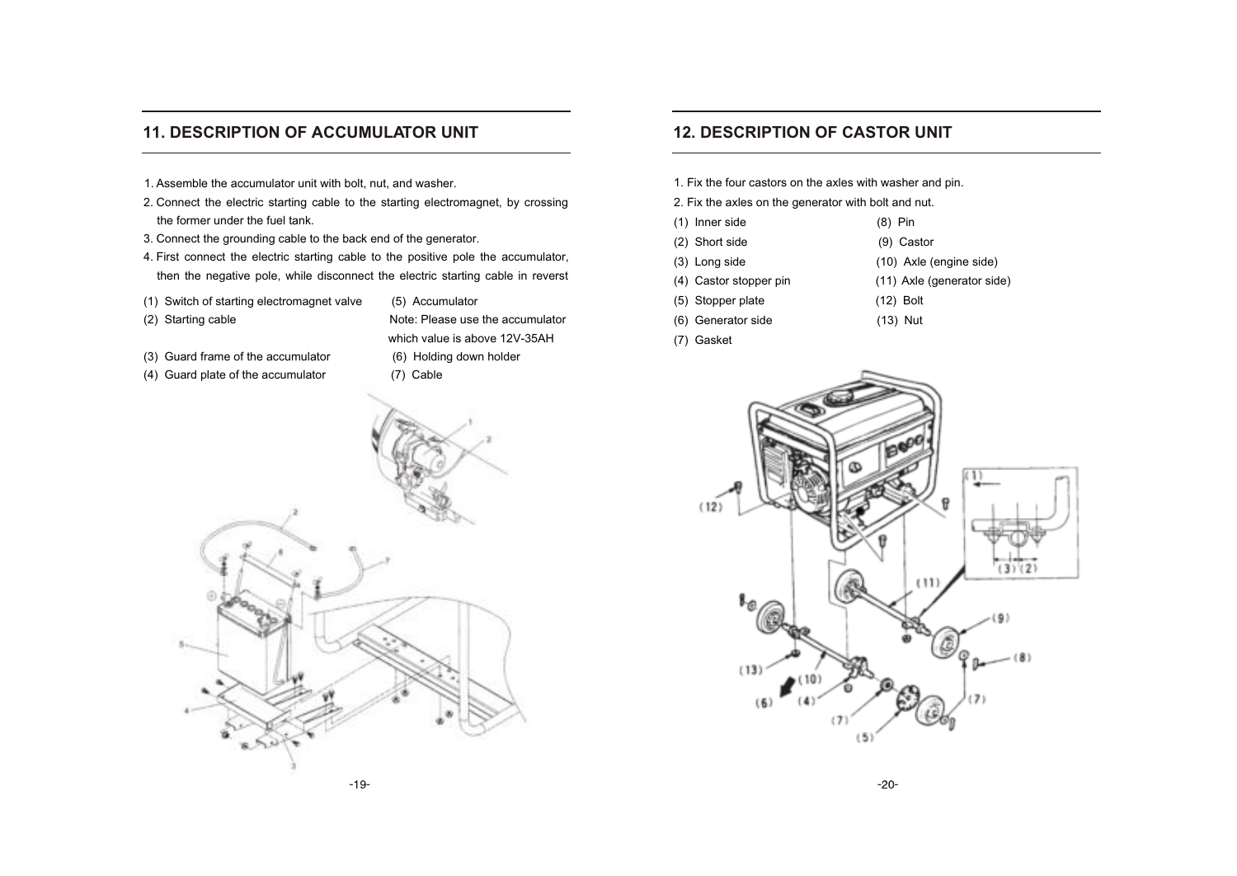### **11. DESCRIPTION OF ACCUMULATOR UNIT**

- 1. Assemble the accumulator unit with bolt, nut, and washer.
- 2. Connect the electric starting cable to the starting electromagnet, by crossing the former under the fuel tank.
- 3. Connect the grounding cable to the back end of the generator.
- 4. First connect the electric starting cable to the positive pole the accumulator, then the negative pole, while disconnect the electric starting cable in reverst
- (1) Switch of starting electromagnet valve (5) Accumulator
- 

(2) Starting cable  $\blacksquare$  Note: Please use the accumulator which value is above 12V-35AH (3) Guard frame of the accumulator (6) Holding down holder

- 
- (4) Guard plate of the accumulator (7) Cable

### **12. DESCRIPTION OF CASTOR UNIT**

1. Fix the four castors on the axles with washer and pin.

2. Fix the axles on the generator with bolt and nut.

- (1) Inner side (8) Pin
- (2) Short side (9) Castor
- (3) Long side (10) Axle (engine side)
- (4) Castor stopper pin (11) Axle (generator side)
- (5) Stopper plate (12) Bolt
- (6) Generator side (13) Nut
- (7) Gasket



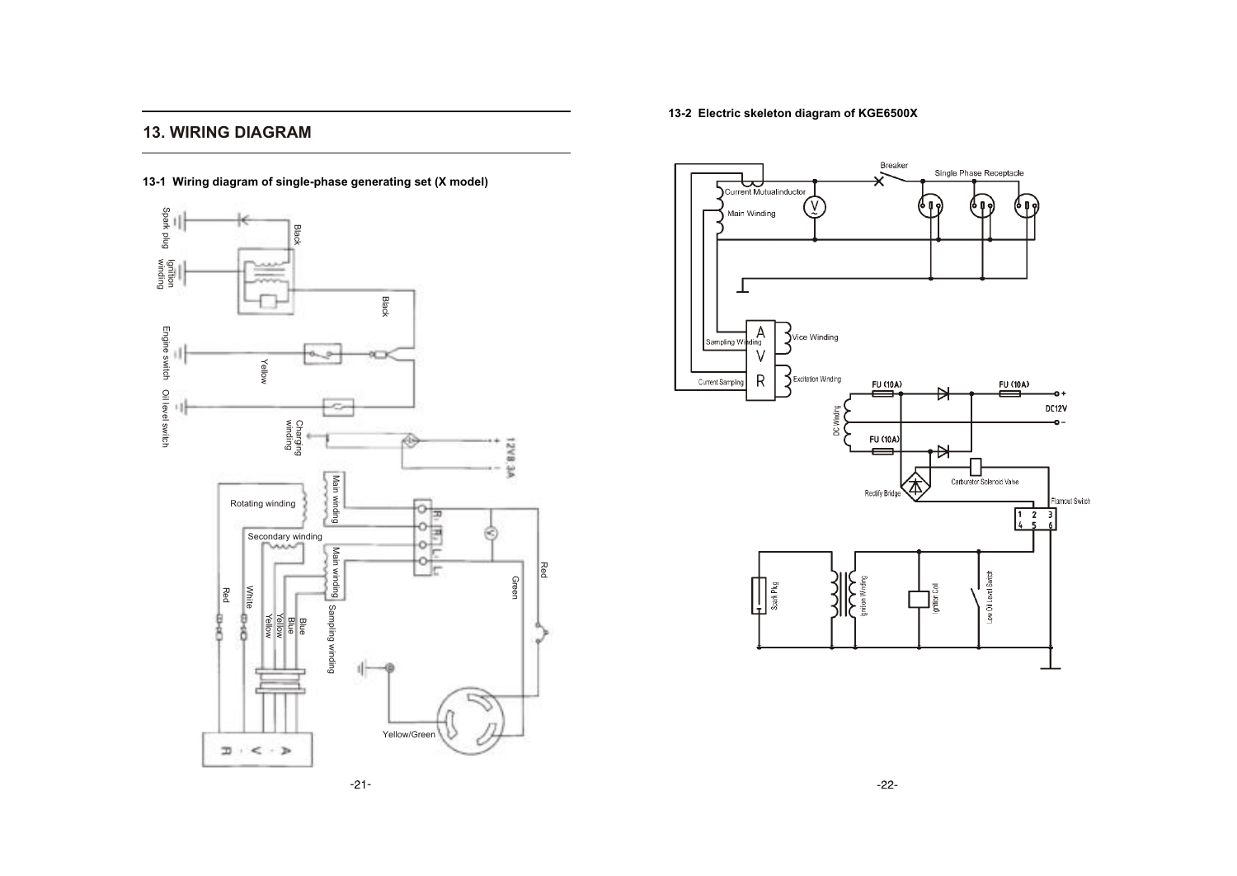### **13. WIRING DIAGRAM**



#### **13-2 Electric skeleton diagram of KGE6500X**



 $-21-$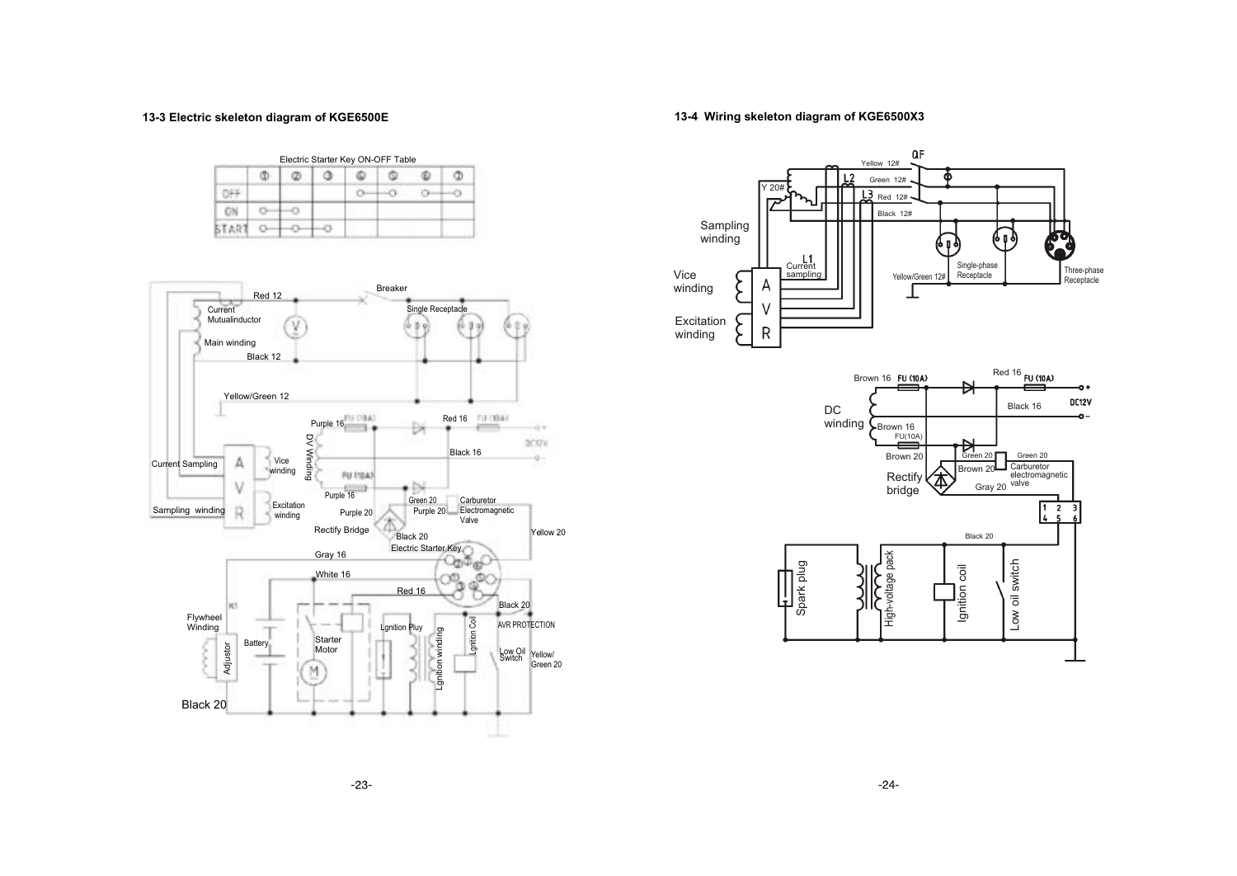#### **13-3 Electric skeleton diagram of KGE6500E**

#### Electric Starter Key ON-OFF Table Φ  $\circ$ ٥  $\Phi$ Q  $\Phi$  $\Phi$ OFF  $0 - 0$  $0 - 0$ ON  $0 - 0$ START  $\circ$  $\circ$   $\circ$



#### **13-4 Wiring skeleton diagram of KGE6500X3**

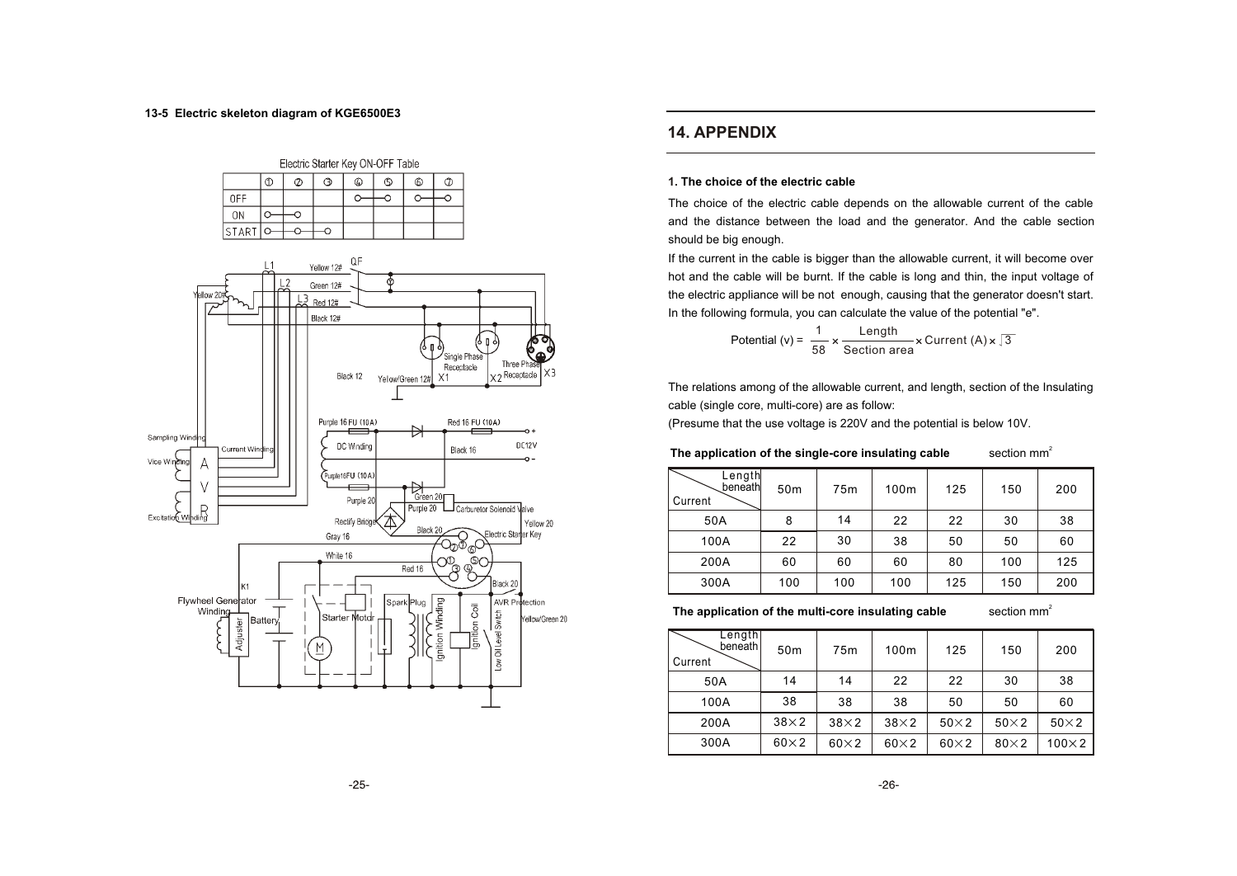#### **13-5 Electric skeleton diagram of KGE6500E3**





### **14. APPENDIX**

#### **1. The choice of the electric cable**

The choice of the electric cable depends on the allowable current of the cable and the distance between the load and the generator. And the cable section should be big enough.

If the current in the cable is bigger than the allowable current, it will become over hot and the cable will be burnt. If the cable is long and thin, the input voltage of the electric appliance will be not enough, causing that the generator doesn't start. In the following formula, you can calculate the value of the potential "e".

Potential (v) = 
$$
\frac{1}{58} \times \frac{\text{Length}}{\text{Section area}} \times \text{Current (A)} \times \sqrt{3}
$$

The relations among of the allowable current, and length, section of the Insulating cable (single core, multi-core) are as follow:

(Presume that the use voltage is 220V and the potential is below 10V.

section  $mm<sup>2</sup>$ The application of the single-core insulating cable

| Length<br>beneath<br>Current | 50 <sub>m</sub> | 75m | 100m | 125 | 150 | 200 |
|------------------------------|-----------------|-----|------|-----|-----|-----|
| 50A                          | 8               | 14  | 22   | 22  | 30  | 38  |
| 100A                         | 22              | 30  | 38   | 50  | 50  | 60  |
| 200A                         | 60              | 60  | 60   | 80  | 100 | 125 |
| 300A                         | 100             | 100 | 100  | 125 | 150 | 200 |

The application of the multi-core insulating cable

section  $mm<sup>2</sup>$ 

| Length<br>beneath<br>Current | 50 <sub>m</sub> | 75 <sub>m</sub> | 100m        | 125         | 150         | 200           |
|------------------------------|-----------------|-----------------|-------------|-------------|-------------|---------------|
| 50A                          | 14              | 14              | 22          | 22          | 30          | 38            |
| 100A                         | 38              | 38              | 38          | 50          | 50          | 60            |
| 200A                         | $38\times2$     | $38\times2$     | $38\times2$ | $50\times2$ | $50\times2$ | $50\times2$   |
| 300A                         | $60\times2$     | $60\times2$     | $60\times2$ | $60\times2$ | $80\times2$ | $100\times 2$ |